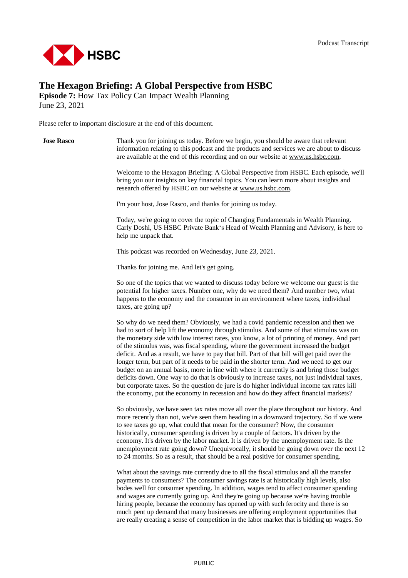

## **The Hexagon Briefing: A Global Perspective from HSBC**

**Episode 7:** How Tax Policy Can Impact Wealth Planning June 23, 2021

Please refer to important disclosure at the end of this document.



payments to consumers? The consumer savings rate is at historically high levels, also bodes well for consumer spending. In addition, wages tend to affect consumer spending and wages are currently going up. And they're going up because we're having trouble hiring people, because the economy has opened up with such ferocity and there is so much pent up demand that many businesses are offering employment opportunities that are really creating a sense of competition in the labor market that is bidding up wages. So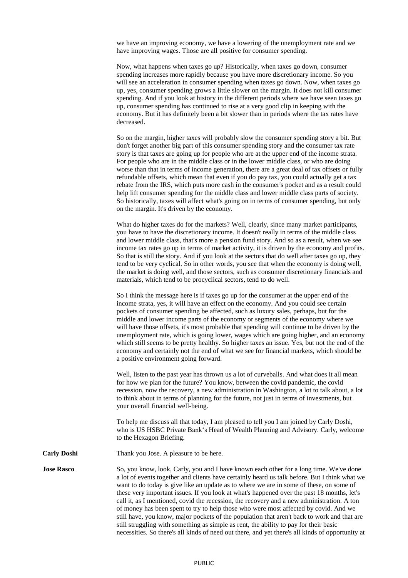we have an improving economy, we have a lowering of the unemployment rate and we have improving wages. Those are all positive for consumer spending.

Now, what happens when taxes go up? Historically, when taxes go down, consumer spending increases more rapidly because you have more discretionary income. So you will see an acceleration in consumer spending when taxes go down. Now, when taxes go up, yes, consumer spending grows a little slower on the margin. It does not kill consumer spending. And if you look at history in the different periods where we have seen taxes go up, consumer spending has continued to rise at a very good clip in keeping with the economy. But it has definitely been a bit slower than in periods where the tax rates have decreased.

So on the margin, higher taxes will probably slow the consumer spending story a bit. But don't forget another big part of this consumer spending story and the consumer tax rate story is that taxes are going up for people who are at the upper end of the income strata. For people who are in the middle class or in the lower middle class, or who are doing worse than that in terms of income generation, there are a great deal of tax offsets or fully refundable offsets, which mean that even if you do pay tax, you could actually get a tax rebate from the IRS, which puts more cash in the consumer's pocket and as a result could help lift consumer spending for the middle class and lower middle class parts of society. So historically, taxes will affect what's going on in terms of consumer spending, but only on the margin. It's driven by the economy.

What do higher taxes do for the markets? Well, clearly, since many market participants, you have to have the discretionary income. It doesn't really in terms of the middle class and lower middle class, that's more a pension fund story. And so as a result, when we see income tax rates go up in terms of market activity, it is driven by the economy and profits. So that is still the story. And if you look at the sectors that do well after taxes go up, they tend to be very cyclical. So in other words, you see that when the economy is doing well, the market is doing well, and those sectors, such as consumer discretionary financials and materials, which tend to be procyclical sectors, tend to do well.

So I think the message here is if taxes go up for the consumer at the upper end of the income strata, yes, it will have an effect on the economy. And you could see certain pockets of consumer spending be affected, such as luxury sales, perhaps, but for the middle and lower income parts of the economy or segments of the economy where we will have those offsets, it's most probable that spending will continue to be driven by the unemployment rate, which is going lower, wages which are going higher, and an economy which still seems to be pretty healthy. So higher taxes an issue. Yes, but not the end of the economy and certainly not the end of what we see for financial markets, which should be a positive environment going forward.

Well, listen to the past year has thrown us a lot of curveballs. And what does it all mean for how we plan for the future? You know, between the covid pandemic, the covid recession, now the recovery, a new administration in Washington, a lot to talk about, a lot to think about in terms of planning for the future, not just in terms of investments, but your overall financial well-being.

To help me discuss all that today, I am pleased to tell you I am joined by Carly Doshi, who is US HSBC Private Bank's Head of Wealth Planning and Advisory. Carly, welcome to the Hexagon Briefing.

**Carly Doshi** Thank you Jose. A pleasure to be here.

**Jose Rasco** So, you know, look, Carly, you and I have known each other for a long time. We've done a lot of events together and clients have certainly heard us talk before. But I think what we want to do today is give like an update as to where we are in some of these, on some of these very important issues. If you look at what's happened over the past 18 months, let's call it, as I mentioned, covid the recession, the recovery and a new administration. A ton of money has been spent to try to help those who were most affected by covid. And we still have, you know, major pockets of the population that aren't back to work and that are still struggling with something as simple as rent, the ability to pay for their basic necessities. So there's all kinds of need out there, and yet there's all kinds of opportunity at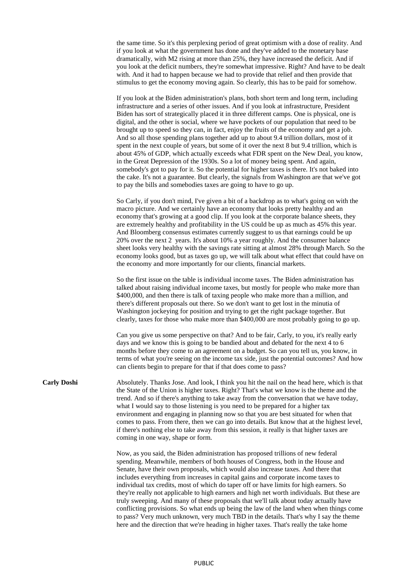the same time. So it's this perplexing period of great optimism with a dose of reality. And if you look at what the government has done and they've added to the monetary base dramatically, with M2 rising at more than 25%, they have increased the deficit. And if you look at the deficit numbers, they're somewhat impressive. Right? And have to be dealt with. And it had to happen because we had to provide that relief and then provide that stimulus to get the economy moving again. So clearly, this has to be paid for somehow.

If you look at the Biden administration's plans, both short term and long term, including infrastructure and a series of other issues. And if you look at infrastructure, President Biden has sort of strategically placed it in three different camps. One is physical, one is digital, and the other is social, where we have pockets of our population that need to be brought up to speed so they can, in fact, enjoy the fruits of the economy and get a job. And so all those spending plans together add up to about 9.4 trillion dollars, most of it spent in the next couple of years, but some of it over the next 8 but 9.4 trillion, which is about 45% of GDP, which actually exceeds what FDR spent on the New Deal, you know, in the Great Depression of the 1930s. So a lot of money being spent. And again, somebody's got to pay for it. So the potential for higher taxes is there. It's not baked into the cake. It's not a guarantee. But clearly, the signals from Washington are that we've got to pay the bills and somebodies taxes are going to have to go up.

So Carly, if you don't mind, I've given a bit of a backdrop as to what's going on with the macro picture. And we certainly have an economy that looks pretty healthy and an economy that's growing at a good clip. If you look at the corporate balance sheets, they are extremely healthy and profitability in the US could be up as much as 45% this year. And Bloomberg consensus estimates currently suggest to us that earnings could be up 20% over the next 2 years. It's about 10% a year roughly. And the consumer balance sheet looks very healthy with the savings rate sitting at almost 28% through March. So the economy looks good, but as taxes go up, we will talk about what effect that could have on the economy and more importantly for our clients, financial markets.

So the first issue on the table is individual income taxes. The Biden administration has talked about raising individual income taxes, but mostly for people who make more than \$400,000, and then there is talk of taxing people who make more than a million, and there's different proposals out there. So we don't want to get lost in the minutia of Washington jockeying for position and trying to get the right package together. But clearly, taxes for those who make more than \$400,000 are most probably going to go up.

Can you give us some perspective on that? And to be fair, Carly, to you, it's really early days and we know this is going to be bandied about and debated for the next 4 to 6 months before they come to an agreement on a budget. So can you tell us, you know, in terms of what you're seeing on the income tax side, just the potential outcomes? And how can clients begin to prepare for that if that does come to pass?

**Carly Doshi** Absolutely. Thanks Jose. And look, I think you hit the nail on the head here, which is that the State of the Union is higher taxes. Right? That's what we know is the theme and the trend. And so if there's anything to take away from the conversation that we have today, what I would say to those listening is you need to be prepared for a higher tax environment and engaging in planning now so that you are best situated for when that comes to pass. From there, then we can go into details. But know that at the highest level, if there's nothing else to take away from this session, it really is that higher taxes are coming in one way, shape or form.

> Now, as you said, the Biden administration has proposed trillions of new federal spending. Meanwhile, members of both houses of Congress, both in the House and Senate, have their own proposals, which would also increase taxes. And there that includes everything from increases in capital gains and corporate income taxes to individual tax credits, most of which do taper off or have limits for high earners. So they're really not applicable to high earners and high net worth individuals. But these are truly sweeping. And many of these proposals that we'll talk about today actually have conflicting provisions. So what ends up being the law of the land when when things come to pass? Very much unknown, very much TBD in the details. That's why I say the theme here and the direction that we're heading in higher taxes. That's really the take home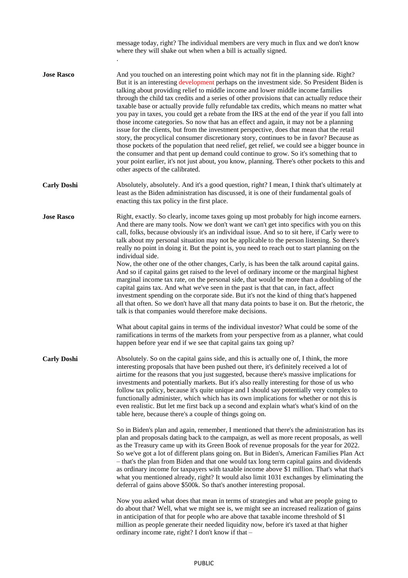|                    | message today, right? The individual members are very much in flux and we don't know<br>where they will shake out when when a bill is actually signed.                                                                                                                                                                                                                                                                                                                                                                                                                                                                                                                                                                                                                                                                                                                                                                                                                                                                                                                                                                                                                                        |
|--------------------|-----------------------------------------------------------------------------------------------------------------------------------------------------------------------------------------------------------------------------------------------------------------------------------------------------------------------------------------------------------------------------------------------------------------------------------------------------------------------------------------------------------------------------------------------------------------------------------------------------------------------------------------------------------------------------------------------------------------------------------------------------------------------------------------------------------------------------------------------------------------------------------------------------------------------------------------------------------------------------------------------------------------------------------------------------------------------------------------------------------------------------------------------------------------------------------------------|
| <b>Jose Rasco</b>  | And you touched on an interesting point which may not fit in the planning side. Right?<br>But it is an interesting development perhaps on the investment side. So President Biden is<br>talking about providing relief to middle income and lower middle income families<br>through the child tax credits and a series of other provisions that can actually reduce their<br>taxable base or actually provide fully refundable tax credits, which means no matter what<br>you pay in taxes, you could get a rebate from the IRS at the end of the year if you fall into<br>those income categories. So now that has an effect and again, it may not be a planning<br>issue for the clients, but from the investment perspective, does that mean that the retail<br>story, the procyclical consumer discretionary story, continues to be in favor? Because as<br>those pockets of the population that need relief, get relief, we could see a bigger bounce in<br>the consumer and that pent up demand could continue to grow. So it's something that to<br>your point earlier, it's not just about, you know, planning. There's other pockets to this and<br>other aspects of the calibrated. |
| <b>Carly Doshi</b> | Absolutely, absolutely. And it's a good question, right? I mean, I think that's ultimately at<br>least as the Biden administration has discussed, it is one of their fundamental goals of<br>enacting this tax policy in the first place.                                                                                                                                                                                                                                                                                                                                                                                                                                                                                                                                                                                                                                                                                                                                                                                                                                                                                                                                                     |
| <b>Jose Rasco</b>  | Right, exactly. So clearly, income taxes going up most probably for high income earners.<br>And there are many tools. Now we don't want we can't get into specifics with you on this<br>call, folks, because obviously it's an individual issue. And so to sit here, if Carly were to<br>talk about my personal situation may not be applicable to the person listening. So there's<br>really no point in doing it. But the point is, you need to reach out to start planning on the<br>individual side.                                                                                                                                                                                                                                                                                                                                                                                                                                                                                                                                                                                                                                                                                      |
|                    | Now, the other one of the other changes, Carly, is has been the talk around capital gains.<br>And so if capital gains get raised to the level of ordinary income or the marginal highest<br>marginal income tax rate, on the personal side, that would be more than a doubling of the<br>capital gains tax. And what we've seen in the past is that that can, in fact, affect<br>investment spending on the corporate side. But it's not the kind of thing that's happened<br>all that often. So we don't have all that many data points to base it on. But the rhetoric, the<br>talk is that companies would therefore make decisions.                                                                                                                                                                                                                                                                                                                                                                                                                                                                                                                                                       |
|                    | What about capital gains in terms of the individual investor? What could be some of the<br>ramifications in terms of the markets from your perspective from as a planner, what could<br>happen before year end if we see that capital gains tax going up?                                                                                                                                                                                                                                                                                                                                                                                                                                                                                                                                                                                                                                                                                                                                                                                                                                                                                                                                     |
| <b>Carly Doshi</b> | Absolutely. So on the capital gains side, and this is actually one of, I think, the more<br>interesting proposals that have been pushed out there, it's definitely received a lot of<br>airtime for the reasons that you just suggested, because there's massive implications for<br>investments and potentially markets. But it's also really interesting for those of us who<br>follow tax policy, because it's quite unique and I should say potentially very complex to<br>functionally administer, which which has its own implications for whether or not this is<br>even realistic. But let me first back up a second and explain what's what's kind of on the<br>table here, because there's a couple of things going on.                                                                                                                                                                                                                                                                                                                                                                                                                                                             |
|                    | So in Biden's plan and again, remember, I mentioned that there's the administration has its<br>plan and proposals dating back to the campaign, as well as more recent proposals, as well<br>as the Treasury came up with its Green Book of revenue proposals for the year for 2022.<br>So we've got a lot of different plans going on. But in Biden's, American Families Plan Act<br>- that's the plan from Biden and that one would tax long term capital gains and dividends<br>as ordinary income for taxpayers with taxable income above \$1 million. That's what that's<br>what you mentioned already, right? It would also limit 1031 exchanges by eliminating the<br>deferral of gains above \$500k. So that's another interesting proposal.                                                                                                                                                                                                                                                                                                                                                                                                                                           |
|                    | Now you asked what does that mean in terms of strategies and what are people going to<br>do about that? Well, what we might see is, we might see an increased realization of gains<br>in anticipation of that for people who are above that taxable income threshold of \$1<br>million as people generate their needed liquidity now, before it's taxed at that higher<br>ordinary income rate, right? I don't know if that -                                                                                                                                                                                                                                                                                                                                                                                                                                                                                                                                                                                                                                                                                                                                                                 |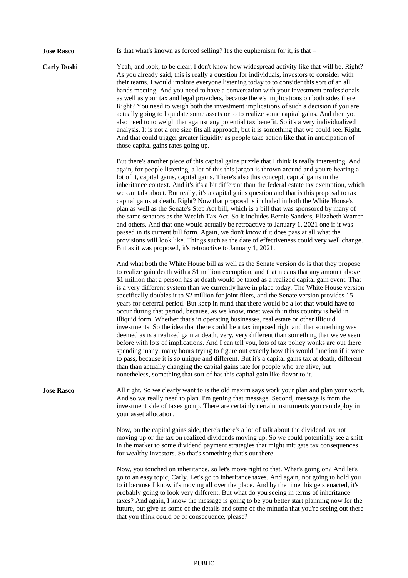**Jose Rasco** Is that what's known as forced selling? It's the euphemism for it, is that – **Carly Doshi** Yeah, and look, to be clear, I don't know how widespread activity like that will be. Right? As you already said, this is really a question for individuals, investors to consider with their teams. I would implore everyone listening today to to consider this sort of an all hands meeting. And you need to have a conversation with your investment professionals as well as your tax and legal providers, because there's implications on both sides there. Right? You need to weigh both the investment implications of such a decision if you are actually going to liquidate some assets or to to realize some capital gains. And then you also need to to weigh that against any potential tax benefit. So it's a very individualized analysis. It is not a one size fits all approach, but it is something that we could see. Right. And that could trigger greater liquidity as people take action like that in anticipation of those capital gains rates going up. But there's another piece of this capital gains puzzle that I think is really interesting. And again, for people listening, a lot of this this jargon is thrown around and you're hearing a lot of it, capital gains, capital gains. There's also this concept, capital gains in the inheritance context. And it's it's a bit different than the federal estate tax exemption, which we can talk about. But really, it's a capital gains question and that is this proposal to tax capital gains at death. Right? Now that proposal is included in both the White House's plan as well as the Senate's Step Act bill, which is a bill that was sponsored by many of the same senators as the Wealth Tax Act. So it includes Bernie Sanders, Elizabeth Warren and others. And that one would actually be retroactive to January 1, 2021 one if it was passed in its current bill form. Again, we don't know if it does pass at all what the provisions will look like. Things such as the date of effectiveness could very well change. But as it was proposed, it's retroactive to January 1, 2021. And what both the White House bill as well as the Senate version do is that they propose to realize gain death with a \$1 million exemption, and that means that any amount above \$1 million that a person has at death would be taxed as a realized capital gain event. That is a very different system than we currently have in place today. The White House version specifically doubles it to \$2 million for joint filers, and the Senate version provides 15 years for deferral period. But keep in mind that there would be a lot that would have to occur during that period, because, as we know, most wealth in this country is held in illiquid form. Whether that's in operating businesses, real estate or other illiquid investments. So the idea that there could be a tax imposed right and that something was deemed as is a realized gain at death, very, very different than something that we've seen before with lots of implications. And I can tell you, lots of tax policy wonks are out there spending many, many hours trying to figure out exactly how this would function if it were to pass, because it is so unique and different. But it's a capital gains tax at death, different than than actually changing the capital gains rate for people who are alive, but nonetheless, something that sort of has this capital gain like flavor to it. **Jose Rasco** All right. So we clearly want to is the old maxim says work your plan and plan your work. And so we really need to plan. I'm getting that message. Second, message is from the investment side of taxes go up. There are certainly certain instruments you can deploy in your asset allocation. Now, on the capital gains side, there's there's a lot of talk about the dividend tax not moving up or the tax on realized dividends moving up. So we could potentially see a shift in the market to some dividend payment strategies that might mitigate tax consequences for wealthy investors. So that's something that's out there. Now, you touched on inheritance, so let's move right to that. What's going on? And let's go to an easy topic, Carly. Let's go to inheritance taxes. And again, not going to hold you to it because I know it's moving all over the place. And by the time this gets enacted, it's probably going to look very different. But what do you seeing in terms of inheritance taxes? And again, I know the message is going to be you better start planning now for the future, but give us some of the details and some of the minutia that you're seeing out there that you think could be of consequence, please?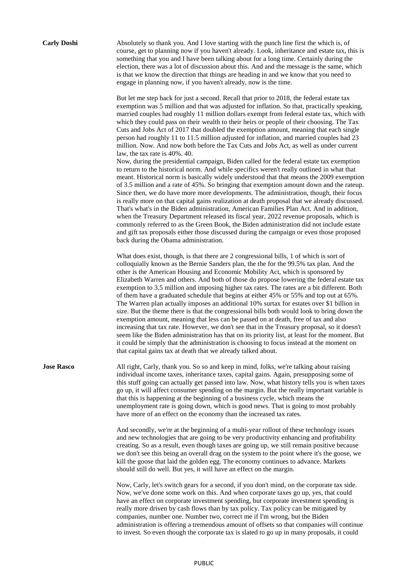**Carly Doshi** Absolutely so thank you. And I love starting with the punch line first the which is, of course, get to planning now if you haven't already. Look, inheritance and estate tax, this is something that you and I have been talking about for a long time. Certainly during the election, there was a lot of discussion about this. And and the message is the same, which is that we know the direction that things are heading in and we know that you need to engage in planning now, if you haven't already, now is the time.

> But let me step back for just a second. Recall that prior to 2018, the federal estate tax exemption was 5 million and that was adjusted for inflation. So that, practically speaking, married couples had roughly 11 million dollars exempt from federal estate tax, which with which they could pass on their wealth to their heirs or people of their choosing. The Tax Cuts and Jobs Act of 2017 that doubled the exemption amount, meaning that each single person had roughly 11 to 11.5 million adjusted for inflation, and married couples had 23 million. Now. And now both before the Tax Cuts and Jobs Act, as well as under current law, the tax rate is 40%. 40.

> Now, during the presidential campaign, Biden called for the federal estate tax exemption to return to the historical norm. And while specifics weren't really outlined in what that meant. Historical norm is basically widely understood that that means the 2009 exemption of 3.5 million and a rate of 45%. So bringing that exemption amount down and the rateup. Since then, we do have more more developments. The administration, though, their focus is really more on that capital gains realization at death proposal that we already discussed. That's what's in the Biden administration, American Families Plan Act. And in addition, when the Treasury Department released its fiscal year, 2022 revenue proposals, which is commonly referred to as the Green Book, the Biden administration did not include estate and gift tax proposals either those discussed during the campaign or even those proposed back during the Obama administration.

> What does exist, though, is that there are 2 congressional bills, 1 of which is sort of colloquially known as the Bernie Sanders plan, the the for the 99.5% tax plan. And the other is the American Housing and Economic Mobility Act, which is sponsored by Elizabeth Warren and others. And both of those do propose lowering the federal estate tax exemption to 3.5 million and imposing higher tax rates. The rates are a bit different. Both of them have a graduated schedule that begins at either 45% or 55% and top out at 65%. The Warren plan actually imposes an additional 10% surtax for estates over \$1 billion in size. But the theme there is that the congressional bills both would look to bring down the exemption amount, meaning that less can be passed on at death, free of tax and also increasing that tax rate. However, we don't see that in the Treasury proposal, so it doesn't seem like the Biden administration has that on its priority list, at least for the moment. But it could be simply that the administration is choosing to focus instead at the moment on that capital gains tax at death that we already talked about.

**Jose Rasco** All right, Carly, thank you. So so and keep in mind, folks, we're talking about raising individual income taxes, inheritance taxes, capital gains. Again, presupposing some of this stuff going can actually get passed into law. Now, what history tells you is when taxes go up, it will affect consumer spending on the margin. But the really important variable is that this is happening at the beginning of a business cycle, which means the unemployment rate is going down, which is good news. That is going to most probably have more of an effect on the economy than the increased tax rates.

> And secondly, we're at the beginning of a multi-year rollout of these technology issues and new technologies that are going to be very productivity enhancing and profitability creating. So as a result, even though taxes are going up, we still remain positive because we don't see this being an overall drag on the system to the point where it's the goose, we kill the goose that laid the golden egg. The economy continues to advance. Markets should still do well. But yes, it will have an effect on the margin.

> Now, Carly, let's switch gears for a second, if you don't mind, on the corporate tax side. Now, we've done some work on this. And when corporate taxes go up, yes, that could have an effect on corporate investment spending, but corporate investment spending is really more driven by cash flows than by tax policy. Tax policy can be mitigated by companies, number one. Number two, correct me if I'm wrong, but the Biden administration is offering a tremendous amount of offsets so that companies will continue to invest. So even though the corporate tax is slated to go up in many proposals, it could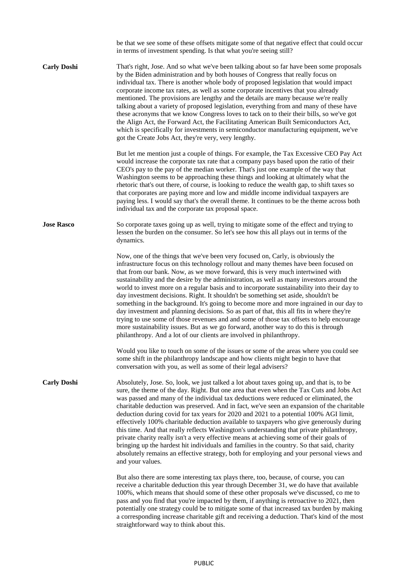|                    | be that we see some of these offsets mitigate some of that negative effect that could occur<br>in terms of investment spending. Is that what you're seeing still?                                                                                                                                                                                                                                                                                                                                                                                                                                                                                                                                                                                                                                                                                                                                                                                                                               |
|--------------------|-------------------------------------------------------------------------------------------------------------------------------------------------------------------------------------------------------------------------------------------------------------------------------------------------------------------------------------------------------------------------------------------------------------------------------------------------------------------------------------------------------------------------------------------------------------------------------------------------------------------------------------------------------------------------------------------------------------------------------------------------------------------------------------------------------------------------------------------------------------------------------------------------------------------------------------------------------------------------------------------------|
| <b>Carly Doshi</b> | That's right, Jose. And so what we've been talking about so far have been some proposals<br>by the Biden administration and by both houses of Congress that really focus on<br>individual tax. There is another whole body of proposed legislation that would impact<br>corporate income tax rates, as well as some corporate incentives that you already<br>mentioned. The provisions are lengthy and the details are many because we're really<br>talking about a variety of proposed legislation, everything from and many of these have<br>these acronyms that we know Congress loves to tack on to their their bills, so we've got<br>the Align Act, the Forward Act, the Facilitating American Built Semiconductors Act,<br>which is specifically for investments in semiconductor manufacturing equipment, we've<br>got the Create Jobs Act, they're very, very lengthy.                                                                                                                 |
|                    | But let me mention just a couple of things. For example, the Tax Excessive CEO Pay Act<br>would increase the corporate tax rate that a company pays based upon the ratio of their<br>CEO's pay to the pay of the median worker. That's just one example of the way that<br>Washington seems to be approaching these things and looking at ultimately what the<br>rhetoric that's out there, of course, is looking to reduce the wealth gap, to shift taxes so<br>that corporates are paying more and low and middle income individual taxpayers are<br>paying less. I would say that's the overall theme. It continues to be the theme across both<br>individual tax and the corporate tax proposal space.                                                                                                                                                                                                                                                                                      |
| <b>Jose Rasco</b>  | So corporate taxes going up as well, trying to mitigate some of the effect and trying to<br>lessen the burden on the consumer. So let's see how this all plays out in terms of the<br>dynamics.                                                                                                                                                                                                                                                                                                                                                                                                                                                                                                                                                                                                                                                                                                                                                                                                 |
|                    | Now, one of the things that we've been very focused on, Carly, is obviously the<br>infrastructure focus on this technology rollout and many themes have been focused on<br>that from our bank. Now, as we move forward, this is very much intertwined with<br>sustainability and the desire by the administration, as well as many investors around the<br>world to invest more on a regular basis and to incorporate sustainability into their day to<br>day investment decisions. Right. It shouldn't be something set aside, shouldn't be<br>something in the background. It's going to become more and more ingrained in our day to<br>day investment and planning decisions. So as part of that, this all fits in where they're<br>trying to use some of those revenues and and some of those tax offsets to help encourage<br>more sustainability issues. But as we go forward, another way to do this is through<br>philanthropy. And a lot of our clients are involved in philanthropy. |
|                    | Would you like to touch on some of the issues or some of the areas where you could see<br>some shift in the philanthropy landscape and how clients might begin to have that<br>conversation with you, as well as some of their legal advisers?                                                                                                                                                                                                                                                                                                                                                                                                                                                                                                                                                                                                                                                                                                                                                  |
| <b>Carly Doshi</b> | Absolutely, Jose. So, look, we just talked a lot about taxes going up, and that is, to be<br>sure, the theme of the day. Right. But one area that even when the Tax Cuts and Jobs Act<br>was passed and many of the individual tax deductions were reduced or eliminated, the<br>charitable deduction was preserved. And in fact, we've seen an expansion of the charitable<br>deduction during covid for tax years for 2020 and 2021 to a potential 100% AGI limit,<br>effectively 100% charitable deduction available to taxpayers who give generously during<br>this time. And that really reflects Washington's understanding that private philanthropy,<br>private charity really isn't a very effective means at achieving some of their goals of<br>bringing up the hardest hit individuals and families in the country. So that said, charity<br>absolutely remains an effective strategy, both for employing and your personal views and<br>and your values.                           |
|                    | But also there are some interesting tax plays there, too, because, of course, you can<br>receive a charitable deduction this year through December 31, we do have that available<br>100%, which means that should some of these other proposals we've discussed, co me to<br>pass and you find that you're impacted by them, if anything is retroactive to 2021, then<br>potentially one strategy could be to mitigate some of that increased tax burden by making<br>a corresponding increase charitable gift and receiving a deduction. That's kind of the most<br>straightforward way to think about this.                                                                                                                                                                                                                                                                                                                                                                                   |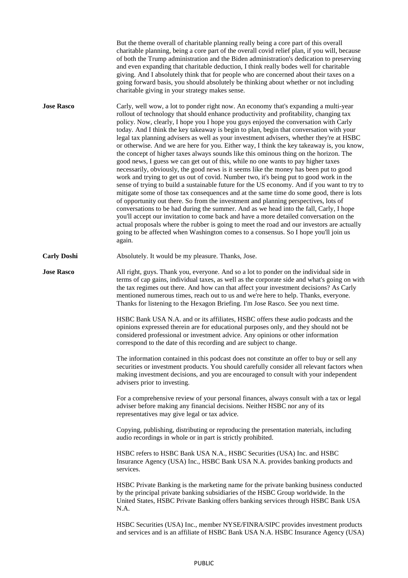|                    | But the theme overall of charitable planning really being a core part of this overall<br>charitable planning, being a core part of the overall covid relief plan, if you will, because<br>of both the Trump administration and the Biden administration's dedication to preserving<br>and even expanding that charitable deduction, I think really bodes well for charitable<br>giving. And I absolutely think that for people who are concerned about their taxes on a<br>going forward basis, you should absolutely be thinking about whether or not including<br>charitable giving in your strategy makes sense.                                                                                                                                                                                                                                                                                                                                                                                                                                                                                                                                                                                                                                                                                                                                                                                                                                                                                                                                                                              |
|--------------------|--------------------------------------------------------------------------------------------------------------------------------------------------------------------------------------------------------------------------------------------------------------------------------------------------------------------------------------------------------------------------------------------------------------------------------------------------------------------------------------------------------------------------------------------------------------------------------------------------------------------------------------------------------------------------------------------------------------------------------------------------------------------------------------------------------------------------------------------------------------------------------------------------------------------------------------------------------------------------------------------------------------------------------------------------------------------------------------------------------------------------------------------------------------------------------------------------------------------------------------------------------------------------------------------------------------------------------------------------------------------------------------------------------------------------------------------------------------------------------------------------------------------------------------------------------------------------------------------------|
| <b>Jose Rasco</b>  | Carly, well wow, a lot to ponder right now. An economy that's expanding a multi-year<br>rollout of technology that should enhance productivity and profitability, changing tax<br>policy. Now, clearly, I hope you I hope you guys enjoyed the conversation with Carly<br>today. And I think the key takeaway is begin to plan, begin that conversation with your<br>legal tax planning advisers as well as your investment advisers, whether they're at HSBC<br>or otherwise. And we are here for you. Either way, I think the key takeaway is, you know,<br>the concept of higher taxes always sounds like this ominous thing on the horizon. The<br>good news, I guess we can get out of this, while no one wants to pay higher taxes<br>necessarily, obviously, the good news is it seems like the money has been put to good<br>work and trying to get us out of covid. Number two, it's being put to good work in the<br>sense of trying to build a sustainable future for the US economy. And if you want to try to<br>mitigate some of those tax consequences and at the same time do some good, there is lots<br>of opportunity out there. So from the investment and planning perspectives, lots of<br>conversations to be had during the summer. And as we head into the fall, Carly, I hope<br>you'll accept our invitation to come back and have a more detailed conversation on the<br>actual proposals where the rubber is going to meet the road and our investors are actually<br>going to be affected when Washington comes to a consensus. So I hope you'll join us<br>again. |
| <b>Carly Doshi</b> | Absolutely. It would be my pleasure. Thanks, Jose.                                                                                                                                                                                                                                                                                                                                                                                                                                                                                                                                                                                                                                                                                                                                                                                                                                                                                                                                                                                                                                                                                                                                                                                                                                                                                                                                                                                                                                                                                                                                               |
| <b>Jose Rasco</b>  | All right, guys. Thank you, everyone. And so a lot to ponder on the individual side in<br>terms of cap gains, individual taxes, as well as the corporate side and what's going on with<br>the tax regimes out there. And how can that affect your investment decisions? As Carly<br>mentioned numerous times, reach out to us and we're here to help. Thanks, everyone.<br>Thanks for listening to the Hexagon Briefing. I'm Jose Rasco. See you next time.                                                                                                                                                                                                                                                                                                                                                                                                                                                                                                                                                                                                                                                                                                                                                                                                                                                                                                                                                                                                                                                                                                                                      |
|                    | HSBC Bank USA N.A. and or its affiliates, HSBC offers these audio podcasts and the<br>opinions expressed therein are for educational purposes only, and they should not be<br>considered professional or investment advice. Any opinions or other information<br>correspond to the date of this recording and are subject to change.                                                                                                                                                                                                                                                                                                                                                                                                                                                                                                                                                                                                                                                                                                                                                                                                                                                                                                                                                                                                                                                                                                                                                                                                                                                             |
|                    | The information contained in this podcast does not constitute an offer to buy or sell any<br>securities or investment products. You should carefully consider all relevant factors when<br>making investment decisions, and you are encouraged to consult with your independent<br>advisers prior to investing.                                                                                                                                                                                                                                                                                                                                                                                                                                                                                                                                                                                                                                                                                                                                                                                                                                                                                                                                                                                                                                                                                                                                                                                                                                                                                  |
|                    | For a comprehensive review of your personal finances, always consult with a tax or legal<br>adviser before making any financial decisions. Neither HSBC nor any of its<br>representatives may give legal or tax advice.                                                                                                                                                                                                                                                                                                                                                                                                                                                                                                                                                                                                                                                                                                                                                                                                                                                                                                                                                                                                                                                                                                                                                                                                                                                                                                                                                                          |
|                    | Copying, publishing, distributing or reproducing the presentation materials, including<br>audio recordings in whole or in part is strictly prohibited.                                                                                                                                                                                                                                                                                                                                                                                                                                                                                                                                                                                                                                                                                                                                                                                                                                                                                                                                                                                                                                                                                                                                                                                                                                                                                                                                                                                                                                           |
|                    | HSBC refers to HSBC Bank USA N.A., HSBC Securities (USA) Inc. and HSBC<br>Insurance Agency (USA) Inc., HSBC Bank USA N.A. provides banking products and<br>services.                                                                                                                                                                                                                                                                                                                                                                                                                                                                                                                                                                                                                                                                                                                                                                                                                                                                                                                                                                                                                                                                                                                                                                                                                                                                                                                                                                                                                             |
|                    | HSBC Private Banking is the marketing name for the private banking business conducted<br>by the principal private banking subsidiaries of the HSBC Group worldwide. In the<br>United States, HSBC Private Banking offers banking services through HSBC Bank USA<br>N.A.                                                                                                                                                                                                                                                                                                                                                                                                                                                                                                                                                                                                                                                                                                                                                                                                                                                                                                                                                                                                                                                                                                                                                                                                                                                                                                                          |
|                    | HSBC Securities (USA) Inc., member NYSE/FINRA/SIPC provides investment products<br>and services and is an affiliate of HSBC Bank USA N.A. HSBC Insurance Agency (USA)                                                                                                                                                                                                                                                                                                                                                                                                                                                                                                                                                                                                                                                                                                                                                                                                                                                                                                                                                                                                                                                                                                                                                                                                                                                                                                                                                                                                                            |